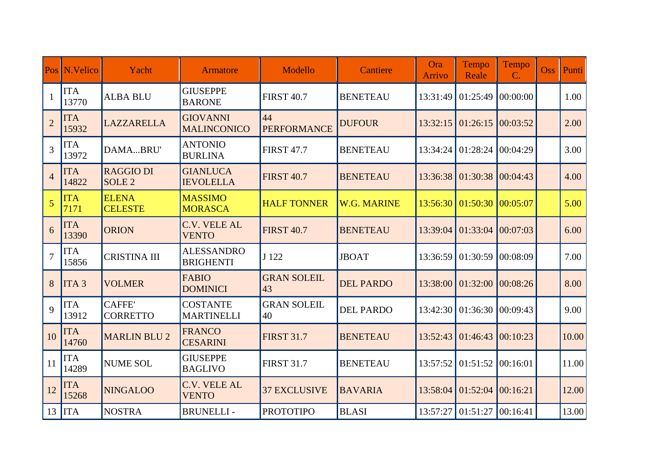| Pos            | N.Velico            | Yacht                             | <b>Armatore</b>                       | Modello                  | <b>Cantiere</b>    | Ora<br><b>Arrivo</b> | Tempo<br>Reale | Tempo<br>$\mathbf{C}$ . | <b>Oss</b> | <b>Punti</b> |
|----------------|---------------------|-----------------------------------|---------------------------------------|--------------------------|--------------------|----------------------|----------------|-------------------------|------------|--------------|
| $\mathbf{1}$   | <b>ITA</b><br>13770 | <b>ALBA BLU</b>                   | <b>GIUSEPPE</b><br><b>BARONE</b>      | <b>FIRST 40.7</b>        | <b>BENETEAU</b>    | 13:31:49             | 01:25:49       | 00:00:00                |            | 1.00         |
| $\overline{2}$ | <b>ITA</b><br>15932 | <b>LAZZARELLA</b>                 | <b>GIOVANNI</b><br><b>MALINCONICO</b> | 44<br><b>PERFORMANCE</b> | <b>DUFOUR</b>      | 13:32:15             | 01:26:15       | 00:03:52                |            | 2.00         |
| $\overline{3}$ | <b>ITA</b><br>13972 | DAMABRU'                          | <b>ANTONIO</b><br><b>BURLINA</b>      | <b>FIRST 47.7</b>        | <b>BENETEAU</b>    | 13:34:24             | 01:28:24       | 00:04:29                |            | 3.00         |
| $\overline{4}$ | <b>ITA</b><br>14822 | <b>RAGGIO DI</b><br><b>SOLE 2</b> | <b>GIANLUCA</b><br><b>IEVOLELLA</b>   | <b>FIRST 40.7</b>        | <b>BENETEAU</b>    | 13:36:38             | 01:30:38       | 00:04:43                |            | 4.00         |
| $\overline{5}$ | <b>ITA</b><br>7171  | <b>ELENA</b><br><b>CELESTE</b>    | <b>MASSIMO</b><br><b>MORASCA</b>      | <b>HALF TONNER</b>       | <b>W.G. MARINE</b> | 13:56:30             | 01:50:30       | 00:05:07                |            | 5.00         |
| 6              | <b>ITA</b><br>13390 | <b>ORION</b>                      | <b>C.V. VELE AL</b><br><b>VENTO</b>   | <b>FIRST 40.7</b>        | <b>BENETEAU</b>    | 13:39:04             | 01:33:04       | 00:07:03                |            | 6.00         |
| $\overline{7}$ | <b>ITA</b><br>15856 | <b>CRISTINA III</b>               | <b>ALESSANDRO</b><br><b>BRIGHENTI</b> | J 122                    | <b>JBOAT</b>       | 13:36:59             | 01:30:59       | 00:08:09                |            | 7.00         |
| 8              | ITA <sub>3</sub>    | <b>VOLMER</b>                     | <b>FABIO</b><br><b>DOMINICI</b>       | <b>GRAN SOLEIL</b><br>43 | <b>DEL PARDO</b>   | 13:38:00             | 01:32:00       | 00:08:26                |            | 8.00         |
| 9              | <b>ITA</b><br>13912 | <b>CAFFE'</b><br><b>CORRETTO</b>  | <b>COSTANTE</b><br><b>MARTINELLI</b>  | <b>GRAN SOLEIL</b><br>40 | <b>DEL PARDO</b>   | 13:42:30             | 01:36:30       | 00:09:43                |            | 9.00         |
| 10             | <b>ITA</b><br>14760 | <b>MARLIN BLU 2</b>               | <b>FRANCO</b><br><b>CESARINI</b>      | <b>FIRST 31.7</b>        | <b>BENETEAU</b>    | 13:52:43             | 01:46:43       | 00:10:23                |            | 10.00        |
| 11             | <b>ITA</b><br>14289 | <b>NUME SOL</b>                   | <b>GIUSEPPE</b><br><b>BAGLIVO</b>     | <b>FIRST 31.7</b>        | <b>BENETEAU</b>    | 13:57:52             | 01:51:52       | 00:16:01                |            | 11.00        |
| 12             | <b>ITA</b><br>15268 | <b>NINGALOO</b>                   | <b>C.V. VELE AL</b><br><b>VENTO</b>   | <b>37 EXCLUSIVE</b>      | <b>BAVARIA</b>     | 13:58:04             | 01:52:04       | 00:16:21                |            | 12.00        |
|                | $13$ ITA            | <b>NOSTRA</b>                     | <b>BRUNELLI-</b>                      | <b>PROTOTIPO</b>         | <b>BLASI</b>       | 13:57:27             | 01:51:27       | 00:16:41                |            | 13.00        |